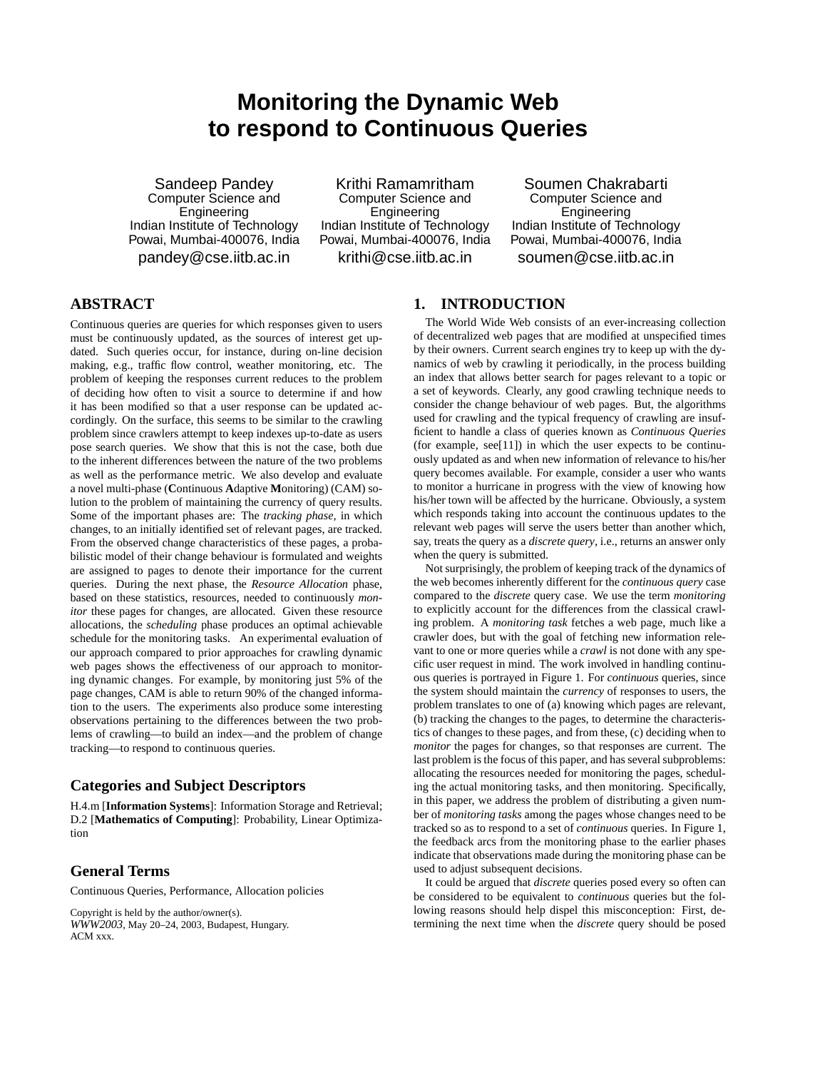# **Monitoring the Dynamic Web to respond to Continuous Queries**

Sandeep Pandey Computer Science and Engineering Indian Institute of Technology Powai, Mumbai-400076, India pandey@cse.iitb.ac.in

Krithi Ramamritham Computer Science and Engineering Indian Institute of Technology Powai, Mumbai-400076, India krithi@cse.iitb.ac.in

Soumen Chakrabarti Computer Science and Engineering Indian Institute of Technology Powai, Mumbai-400076, India soumen@cse.iitb.ac.in

# **ABSTRACT**

Continuous queries are queries for which responses given to users must be continuously updated, as the sources of interest get updated. Such queries occur, for instance, during on-line decision making, e.g., traffic flow control, weather monitoring, etc. The problem of keeping the responses current reduces to the problem of deciding how often to visit a source to determine if and how it has been modified so that a user response can be updated accordingly. On the surface, this seems to be similar to the crawling problem since crawlers attempt to keep indexes up-to-date as users pose search queries. We show that this is not the case, both due to the inherent differences between the nature of the two problems as well as the performance metric. We also develop and evaluate a novel multi-phase (**C**ontinuous **A**daptive **M**onitoring) (CAM) solution to the problem of maintaining the currency of query results. Some of the important phases are: The *tracking phase*, in which changes, to an initially identified set of relevant pages, are tracked. From the observed change characteristics of these pages, a probabilistic model of their change behaviour is formulated and weights are assigned to pages to denote their importance for the current queries. During the next phase, the *Resource Allocation* phase, based on these statistics, resources, needed to continuously *monitor* these pages for changes, are allocated. Given these resource allocations, the *scheduling* phase produces an optimal achievable schedule for the monitoring tasks. An experimental evaluation of our approach compared to prior approaches for crawling dynamic web pages shows the effectiveness of our approach to monitoring dynamic changes. For example, by monitoring just 5% of the page changes, CAM is able to return 90% of the changed information to the users. The experiments also produce some interesting observations pertaining to the differences between the two problems of crawling—to build an index—and the problem of change tracking—to respond to continuous queries.

# **Categories and Subject Descriptors**

H.4.m [**Information Systems**]: Information Storage and Retrieval; D.2 [**Mathematics of Computing**]: Probability, Linear Optimization

# **General Terms**

Continuous Queries, Performance, Allocation policies

Copyright is held by the author/owner(s). *WWW2003*, May 20–24, 2003, Budapest, Hungary. ACM xxx.

## **1. INTRODUCTION**

The World Wide Web consists of an ever-increasing collection of decentralized web pages that are modified at unspecified times by their owners. Current search engines try to keep up with the dynamics of web by crawling it periodically, in the process building an index that allows better search for pages relevant to a topic or a set of keywords. Clearly, any good crawling technique needs to consider the change behaviour of web pages. But, the algorithms used for crawling and the typical frequency of crawling are insufficient to handle a class of queries known as *Continuous Queries* (for example, see[11]) in which the user expects to be continuously updated as and when new information of relevance to his/her query becomes available. For example, consider a user who wants to monitor a hurricane in progress with the view of knowing how his/her town will be affected by the hurricane. Obviously, a system which responds taking into account the continuous updates to the relevant web pages will serve the users better than another which, say, treats the query as a *discrete query*, i.e., returns an answer only when the query is submitted.

Not surprisingly, the problem of keeping track of the dynamics of the web becomes inherently different for the *continuous query* case compared to the *discrete* query case. We use the term *monitoring* to explicitly account for the differences from the classical crawling problem. A *monitoring task* fetches a web page, much like a crawler does, but with the goal of fetching new information relevant to one or more queries while a *crawl* is not done with any specific user request in mind. The work involved in handling continuous queries is portrayed in Figure 1. For *continuous* queries, since the system should maintain the *currency* of responses to users, the problem translates to one of (a) knowing which pages are relevant, (b) tracking the changes to the pages, to determine the characteristics of changes to these pages, and from these, (c) deciding when to *monitor* the pages for changes, so that responses are current. The last problem is the focus of this paper, and has several subproblems: allocating the resources needed for monitoring the pages, scheduling the actual monitoring tasks, and then monitoring. Specifically, in this paper, we address the problem of distributing a given number of *monitoring tasks* among the pages whose changes need to be tracked so as to respond to a set of *continuous* queries. In Figure 1, the feedback arcs from the monitoring phase to the earlier phases indicate that observations made during the monitoring phase can be used to adjust subsequent decisions.

It could be argued that *discrete* queries posed every so often can be considered to be equivalent to *continuous* queries but the following reasons should help dispel this misconception: First, determining the next time when the *discrete* query should be posed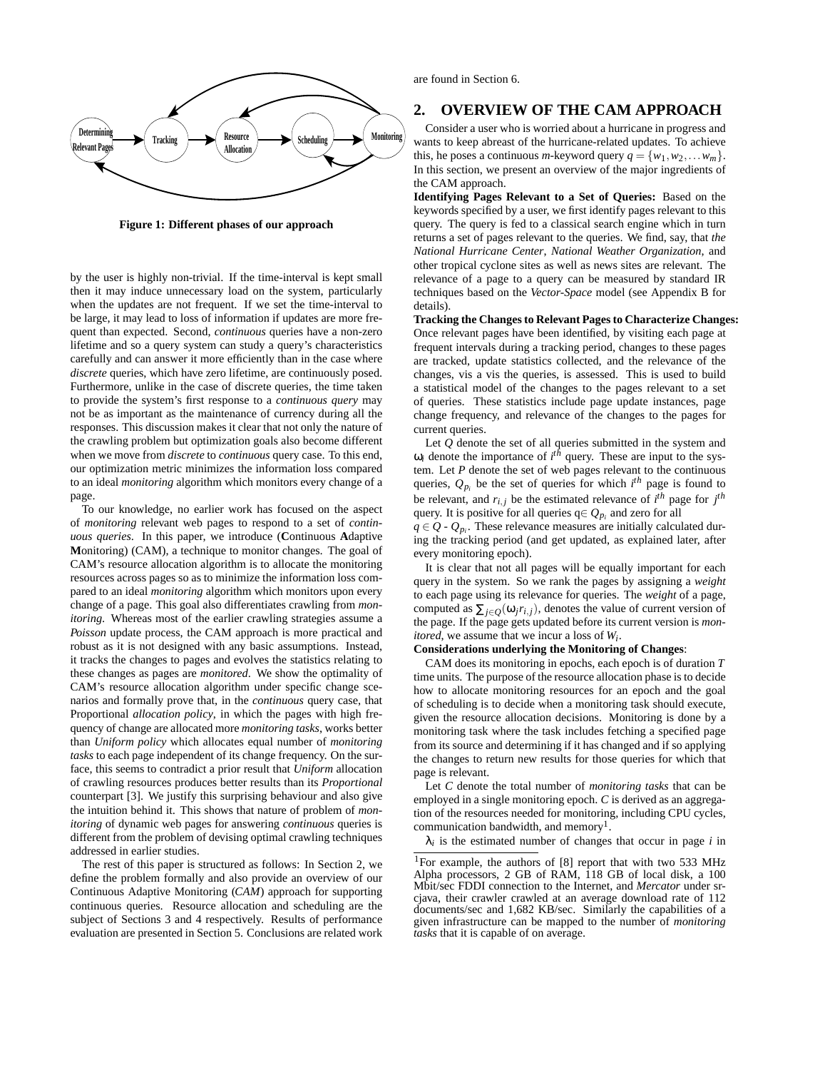

**Figure 1: Different phases of our approach**

by the user is highly non-trivial. If the time-interval is kept small then it may induce unnecessary load on the system, particularly when the updates are not frequent. If we set the time-interval to be large, it may lead to loss of information if updates are more frequent than expected. Second, *continuous* queries have a non-zero lifetime and so a query system can study a query's characteristics carefully and can answer it more efficiently than in the case where *discrete* queries, which have zero lifetime, are continuously posed. Furthermore, unlike in the case of discrete queries, the time taken to provide the system's first response to a *continuous query* may not be as important as the maintenance of currency during all the responses. This discussion makes it clear that not only the nature of the crawling problem but optimization goals also become different when we move from *discrete* to *continuous* query case. To this end, our optimization metric minimizes the information loss compared to an ideal *monitoring* algorithm which monitors every change of a page.

To our knowledge, no earlier work has focused on the aspect of *monitoring* relevant web pages to respond to a set of *continuous queries*. In this paper, we introduce (**C**ontinuous **A**daptive **M**onitoring) (CAM), a technique to monitor changes. The goal of CAM's resource allocation algorithm is to allocate the monitoring resources across pages so as to minimize the information loss compared to an ideal *monitoring* algorithm which monitors upon every change of a page. This goal also differentiates crawling from *monitoring*. Whereas most of the earlier crawling strategies assume a *Poisson* update process, the CAM approach is more practical and robust as it is not designed with any basic assumptions. Instead, it tracks the changes to pages and evolves the statistics relating to these changes as pages are *monitored*. We show the optimality of CAM's resource allocation algorithm under specific change scenarios and formally prove that, in the *continuous* query case, that Proportional *allocation policy*, in which the pages with high frequency of change are allocated more *monitoring tasks*, works better than *Uniform policy* which allocates equal number of *monitoring tasks* to each page independent of its change frequency. On the surface, this seems to contradict a prior result that *Uniform* allocation of crawling resources produces better results than its *Proportional* counterpart [3]. We justify this surprising behaviour and also give the intuition behind it. This shows that nature of problem of *monitoring* of dynamic web pages for answering *continuous* queries is different from the problem of devising optimal crawling techniques addressed in earlier studies.

The rest of this paper is structured as follows: In Section 2, we define the problem formally and also provide an overview of our Continuous Adaptive Monitoring (*CAM*) approach for supporting continuous queries. Resource allocation and scheduling are the subject of Sections 3 and 4 respectively. Results of performance evaluation are presented in Section 5. Conclusions are related work are found in Section 6.

# **2. OVERVIEW OF THE CAM APPROACH**

Consider a user who is worried about a hurricane in progress and wants to keep abreast of the hurricane-related updates. To achieve this, he poses a continuous *m*-keyword query  $q = \{w_1, w_2, \ldots w_m\}$ . In this section, we present an overview of the major ingredients of the CAM approach.

**Identifying Pages Relevant to a Set of Queries:** Based on the keywords specified by a user, we first identify pages relevant to this query. The query is fed to a classical search engine which in turn returns a set of pages relevant to the queries. We find, say, that *the National Hurricane Center*, *National Weather Organization*, and other tropical cyclone sites as well as news sites are relevant. The relevance of a page to a query can be measured by standard IR techniques based on the *Vector-Space* model (see Appendix B for details).

**Tracking the Changes to Relevant Pages to Characterize Changes:** Once relevant pages have been identified, by visiting each page at frequent intervals during a tracking period, changes to these pages are tracked, update statistics collected, and the relevance of the changes, vis a vis the queries, is assessed. This is used to build a statistical model of the changes to the pages relevant to a set of queries. These statistics include page update instances, page change frequency, and relevance of the changes to the pages for current queries.

Let *Q* denote the set of all queries submitted in the system and  $\omega_i$  denote the importance of  $i^{th}$  query. These are input to the system. Let *P* denote the set of web pages relevant to the continuous queries,  $Q_{p_i}$  be the set of queries for which  $i^{th}$  page is found to be relevant, and  $r_{i,j}$  be the estimated relevance of  $i^{th}$  page for  $j^{th}$ query. It is positive for all queries  $q \in Q_{p_i}$  and zero for all

 $q \in Q$  -  $Q_{p_i}$ . These relevance measures are initially calculated during the tracking period (and get updated, as explained later, after every monitoring epoch).

It is clear that not all pages will be equally important for each query in the system. So we rank the pages by assigning a *weight* to each page using its relevance for queries. The *weight* of a page, computed as  $\sum_{i \in O}(\omega_i r_{i,j})$ , denotes the value of current version of the page. If the page gets updated before its current version is *monitored*, we assume that we incur a loss of *Wi* .

#### **Considerations underlying the Monitoring of Changes**:

CAM does its monitoring in epochs, each epoch is of duration *T* time units. The purpose of the resource allocation phase is to decide how to allocate monitoring resources for an epoch and the goal of scheduling is to decide when a monitoring task should execute, given the resource allocation decisions. Monitoring is done by a monitoring task where the task includes fetching a specified page from its source and determining if it has changed and if so applying the changes to return new results for those queries for which that page is relevant.

Let *C* denote the total number of *monitoring tasks* that can be employed in a single monitoring epoch. *C* is derived as an aggregation of the resources needed for monitoring, including CPU cycles, communication bandwidth, and memory<sup>1</sup>.

 $\lambda_i$  is the estimated number of changes that occur in page *i* in

<sup>&</sup>lt;sup>1</sup>For example, the authors of [8] report that with two 533 MHz Alpha processors, 2 GB of RAM, 118 GB of local disk, a 100 Mbit/sec FDDI connection to the Internet, and *Mercator* under srcjava, their crawler crawled at an average download rate of 112 documents/sec and 1,682 KB/sec. Similarly the capabilities of a given infrastructure can be mapped to the number of *monitoring tasks* that it is capable of on average.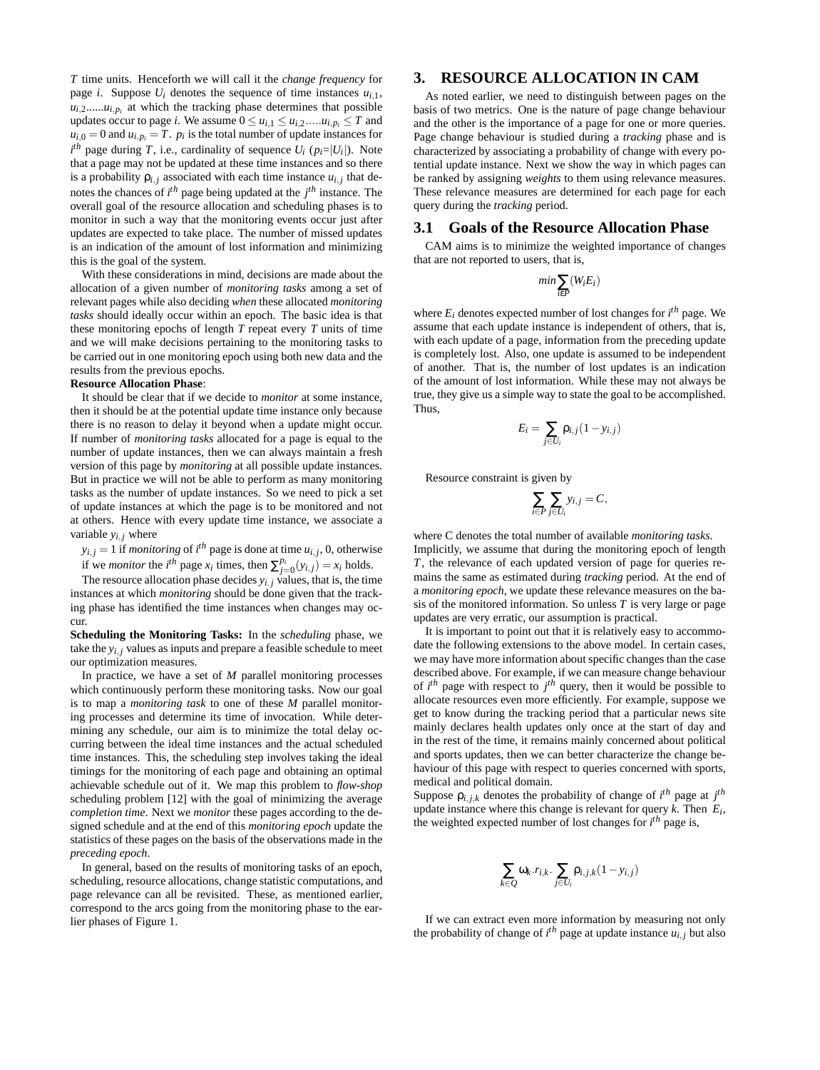*T* time units. Henceforth we will call it the *change frequency* for page *i*. Suppose  $U_i$  denotes the sequence of time instances  $u_{i,1}$ ,  $u_{i,2}$ ...... $u_{i,p_i}$  at which the tracking phase determines that possible updates occur to page *i*. We assume  $0 \le u_{i,1} \le u_{i,2} \dots u_{i,p_i} \le T$  and  $u_{i,0} = 0$  and  $u_{i,p_i} = T$ .  $p_i$  is the total number of update instances for  $i^{th}$  page during *T*, i.e., cardinality of sequence  $U_i$  ( $p_i = |U_i|$ ). Note that a page may not be updated at these time instances and so there is a probability  $\rho_{i,j}$  associated with each time instance  $u_{i,j}$  that denotes the chances of *i th* page being updated at the *j th* instance. The overall goal of the resource allocation and scheduling phases is to monitor in such a way that the monitoring events occur just after updates are expected to take place. The number of missed updates is an indication of the amount of lost information and minimizing this is the goal of the system.

With these considerations in mind, decisions are made about the allocation of a given number of *monitoring tasks* among a set of relevant pages while also deciding *when* these allocated *monitoring tasks* should ideally occur within an epoch. The basic idea is that these monitoring epochs of length *T* repeat every *T* units of time and we will make decisions pertaining to the monitoring tasks to be carried out in one monitoring epoch using both new data and the results from the previous epochs.

#### **Resource Allocation Phase**:

It should be clear that if we decide to *monitor* at some instance, then it should be at the potential update time instance only because there is no reason to delay it beyond when a update might occur. If number of *monitoring tasks* allocated for a page is equal to the number of update instances, then we can always maintain a fresh version of this page by *monitoring* at all possible update instances. But in practice we will not be able to perform as many monitoring tasks as the number of update instances. So we need to pick a set of update instances at which the page is to be monitored and not at others. Hence with every update time instance, we associate a variable  $y_{i,i}$  where

 $y_{i,j} = 1$  if *monitoring* of *i*<sup>th</sup> page is done at time  $u_{i,j}$ , 0, otherwise if we *monitor* the *i*<sup>th</sup> page  $x_i$  times, then  $\sum_{j=0}^{p_i} (y_{i,j}) = x_i$  holds.

The resource allocation phase decides  $y_i$ , *j* values, that is, the time instances at which *monitoring* should be done given that the tracking phase has identified the time instances when changes may occur.

**Scheduling the Monitoring Tasks:** In the *scheduling* phase, we take the  $y_{i,i}$  values as inputs and prepare a feasible schedule to meet our optimization measures.

In practice, we have a set of *M* parallel monitoring processes which continuously perform these monitoring tasks. Now our goal is to map a *monitoring task* to one of these *M* parallel monitoring processes and determine its time of invocation. While determining any schedule, our aim is to minimize the total delay occurring between the ideal time instances and the actual scheduled time instances. This, the scheduling step involves taking the ideal timings for the monitoring of each page and obtaining an optimal achievable schedule out of it. We map this problem to *flow-shop* scheduling problem [12] with the goal of minimizing the average *completion time*. Next we *monitor* these pages according to the designed schedule and at the end of this *monitoring epoch* update the statistics of these pages on the basis of the observations made in the *preceding epoch*.

In general, based on the results of monitoring tasks of an epoch, scheduling, resource allocations, change statistic computations, and page relevance can all be revisited. These, as mentioned earlier, correspond to the arcs going from the monitoring phase to the earlier phases of Figure 1.

# **3. RESOURCE ALLOCATION IN CAM**

As noted earlier, we need to distinguish between pages on the basis of two metrics. One is the nature of page change behaviour and the other is the importance of a page for one or more queries. Page change behaviour is studied during a *tracking* phase and is characterized by associating a probability of change with every potential update instance. Next we show the way in which pages can be ranked by assigning *weights* to them using relevance measures. These relevance measures are determined for each page for each query during the *tracking* period.

### **3.1 Goals of the Resource Allocation Phase**

CAM aims is to minimize the weighted importance of changes that are not reported to users, that is,

$$
min \sum_{i \in P} (W_i E_i)
$$

where  $E_i$  denotes expected number of lost changes for  $i^{th}$  page. We assume that each update instance is independent of others, that is, with each update of a page, information from the preceding update is completely lost. Also, one update is assumed to be independent of another. That is, the number of lost updates is an indication of the amount of lost information. While these may not always be true, they give us a simple way to state the goal to be accomplished. Thus,

$$
E_i = \sum_{j \in U_i} \rho_{i,j} (1 - y_{i,j})
$$

Resource constraint is given by

$$
\sum_{i \in P} \sum_{j \in U_i} y_{i,j} = C,
$$

where C denotes the total number of available *monitoring tasks*. Implicitly, we assume that during the monitoring epoch of length *T*, the relevance of each updated version of page for queries remains the same as estimated during *tracking* period. At the end of a *monitoring epoch*, we update these relevance measures on the basis of the monitored information. So unless *T* is very large or page updates are very erratic, our assumption is practical.

It is important to point out that it is relatively easy to accommodate the following extensions to the above model. In certain cases, we may have more information about specific changes than the case described above. For example, if we can measure change behaviour of  $i^{th}$  page with respect to  $j^{th}$  query, then it would be possible to allocate resources even more efficiently. For example, suppose we get to know during the tracking period that a particular news site mainly declares health updates only once at the start of day and in the rest of the time, it remains mainly concerned about political and sports updates, then we can better characterize the change behaviour of this page with respect to queries concerned with sports, medical and political domain.

Suppose  $\rho_{i,j,k}$  denotes the probability of change of  $i^{th}$  page at  $j^{th}$ update instance where this change is relevant for query *k*. Then *Ei* , the weighted expected number of lost changes for *i th* page is,

$$
\sum_{k\in Q}\omega_k.r_{i,k}.\sum_{j\in U_i}\rho_{i,j,k}(1-y_{i,j})
$$

If we can extract even more information by measuring not only the probability of change of  $i^{th}$  page at update instance  $u_{i,j}$  but also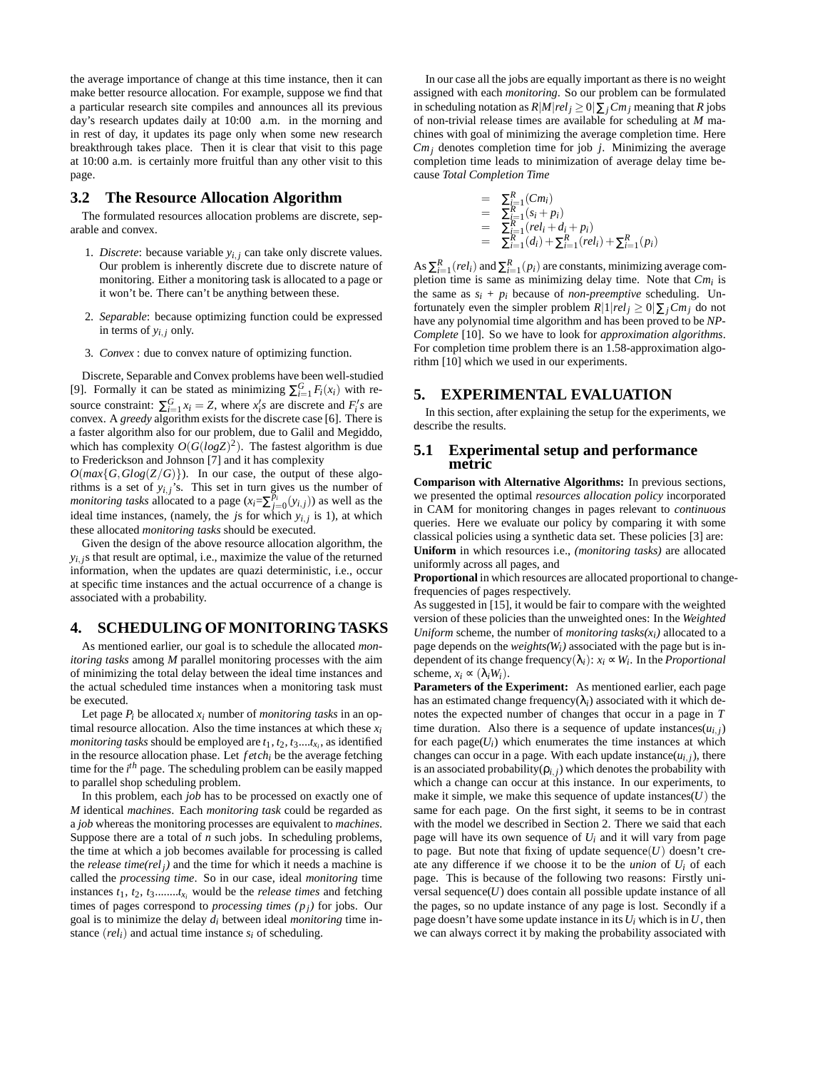the average importance of change at this time instance, then it can make better resource allocation. For example, suppose we find that a particular research site compiles and announces all its previous day's research updates daily at 10:00 a.m. in the morning and in rest of day, it updates its page only when some new research breakthrough takes place. Then it is clear that visit to this page at 10:00 a.m. is certainly more fruitful than any other visit to this page.

#### **3.2 The Resource Allocation Algorithm**

The formulated resources allocation problems are discrete, separable and convex.

- 1. *Discrete*: because variable  $y_{i,j}$  can take only discrete values. Our problem is inherently discrete due to discrete nature of monitoring. Either a monitoring task is allocated to a page or it won't be. There can't be anything between these.
- 2. *Separable*: because optimizing function could be expressed in terms of  $y_{i,i}$  only.
- 3. *Convex* : due to convex nature of optimizing function.

Discrete, Separable and Convex problems have been well-studied [9]. Formally it can be stated as minimizing  $\sum_{i=1}^{G} F_i(x_i)$  with resource constraint:  $\sum_{i=1}^{G} x_i = Z$ , where  $x_i$ 's are discrete and  $F_i$ 's are convex. A *greedy* algorithm exists for the discrete case [6]. There is a faster algorithm also for our problem, due to Galil and Megiddo, which has complexity  $O(G(logZ)^2)$ . The fastest algorithm is due to Frederickson and Johnson [7] and it has complexity

 $O(max{G, Glog(Z/G)}$ ). In our case, the output of these algorithms is a set of  $y_{i,j}$ 's. This set in turn gives us the number of *monitoring tasks* allocated to a page  $(x_i = \sum_{j=0}^{p_i} (y_{i,j}))$  as well as the ideal time instances, (namely, the *j*s for which *yi*, *j* is 1), at which these allocated *monitoring tasks* should be executed.

Given the design of the above resource allocation algorithm, the  $y_{i,j}$ s that result are optimal, i.e., maximize the value of the returned information, when the updates are quazi deterministic, i.e., occur at specific time instances and the actual occurrence of a change is associated with a probability.

## **4. SCHEDULING OF MONITORING TASKS**

As mentioned earlier, our goal is to schedule the allocated *monitoring tasks* among *M* parallel monitoring processes with the aim of minimizing the total delay between the ideal time instances and the actual scheduled time instances when a monitoring task must be executed.

Let page  $P_i$  be allocated  $x_i$  number of *monitoring tasks* in an optimal resource allocation. Also the time instances at which these  $x_i$ *monitoring tasks* should be employed are *t*1, *t*2, *t*3....*tx<sup>i</sup>* , as identified in the resource allocation phase. Let *f etchi* be the average fetching time for the *i th* page. The scheduling problem can be easily mapped to parallel shop scheduling problem.

In this problem, each *job* has to be processed on exactly one of *M* identical *machines*. Each *monitoring task* could be regarded as a *job* whereas the monitoring processes are equivalent to *machines*. Suppose there are a total of *n* such jobs. In scheduling problems, the time at which a job becomes available for processing is called the *release time(rel<sub>i</sub>*) and the time for which it needs a machine is called the *processing time*. So in our case, ideal *monitoring* time instances  $t_1$ ,  $t_2$ ,  $t_3$ ........ $t_{x_i}$  would be the *release times* and fetching times of pages correspond to *processing times (pj)* for jobs. Our goal is to minimize the delay *di* between ideal *monitoring* time instance  $(\text{rel}_i)$  and actual time instance  $s_i$  of scheduling.

In our case all the jobs are equally important as there is no weight assigned with each *monitoring*. So our problem can be formulated in scheduling notation as  $R|M|rel_j \geq 0|\sum_j Cm_j$  meaning that *R* jobs of non-trivial release times are available for scheduling at *M* machines with goal of minimizing the average completion time. Here  $Cm<sub>i</sub>$  denotes completion time for job *j*. Minimizing the average completion time leads to minimization of average delay time because *Total Completion Time*

$$
= \sum_{i=1}^{R} (Cm_i)
$$
  
\n
$$
= \sum_{i=1}^{R} (s_i + p_i)
$$
  
\n
$$
= \sum_{i=1}^{R} (rel_i + d_i + p_i)
$$
  
\n
$$
= \sum_{i=1}^{R} (d_i) + \sum_{i=1}^{R} (rel_i) + \sum_{i=1}^{R} (p_i)
$$

As  $\sum_{i=1}^{R} (rel_i)$  and  $\sum_{i=1}^{R} (p_i)$  are constants, minimizing average completion time is same as minimizing delay time. Note that *Cmi* is the same as  $s_i + p_i$  because of *non-preemptive* scheduling. Unfortunately even the simpler problem  $R|1|rel_j \geq 0|\sum_j Cm_j$  do not have any polynomial time algorithm and has been proved to be *NP-Complete* [10]. So we have to look for *approximation algorithms*. For completion time problem there is an 1.58-approximation algorithm [10] which we used in our experiments.

### **5. EXPERIMENTAL EVALUATION**

In this section, after explaining the setup for the experiments, we describe the results.

## **5.1 Experimental setup and performance metric**

**Comparison with Alternative Algorithms:** In previous sections, we presented the optimal *resources allocation policy* incorporated in CAM for monitoring changes in pages relevant to *continuous* queries. Here we evaluate our policy by comparing it with some classical policies using a synthetic data set. These policies [3] are: **Uniform** in which resources i.e., *(monitoring tasks)* are allocated uniformly across all pages, and

**Proportional** in which resources are allocated proportional to changefrequencies of pages respectively.

As suggested in [15], it would be fair to compare with the weighted version of these policies than the unweighted ones: In the *Weighted Uniform* scheme, the number of *monitoring tasks(* $x_i$ *)* allocated to a page depends on the *weights(Wi)* associated with the page but is independent of its change frequency( $\lambda_i$ ):  $x_i \propto W_i$ . In the *Proportional* scheme,  $x_i \propto (\lambda_i W_i)$ .

**Parameters of the Experiment:** As mentioned earlier, each page has an estimated change frequency( $\lambda_i$ ) associated with it which denotes the expected number of changes that occur in a page in *T* time duration. Also there is a sequence of update instances $(u_{i,j})$ for each  $page(U_i)$  which enumerates the time instances at which changes can occur in a page. With each update instance( $u_{i,j}$ ), there is an associated probability( $\rho$ <sub>*i*, *j*) which denotes the probability with</sub> which a change can occur at this instance. In our experiments, to make it simple, we make this sequence of update instances $(U)$  the same for each page. On the first sight, it seems to be in contrast with the model we described in Section 2. There we said that each page will have its own sequence of  $U_i$  and it will vary from page to page. But note that fixing of update sequence $(U)$  doesn't create any difference if we choose it to be the *union* of *Ui* of each page. This is because of the following two reasons: Firstly universal sequence $(U)$  does contain all possible update instance of all the pages, so no update instance of any page is lost. Secondly if a page doesn't have some update instance in its  $U_i$  which is in  $U$ , then we can always correct it by making the probability associated with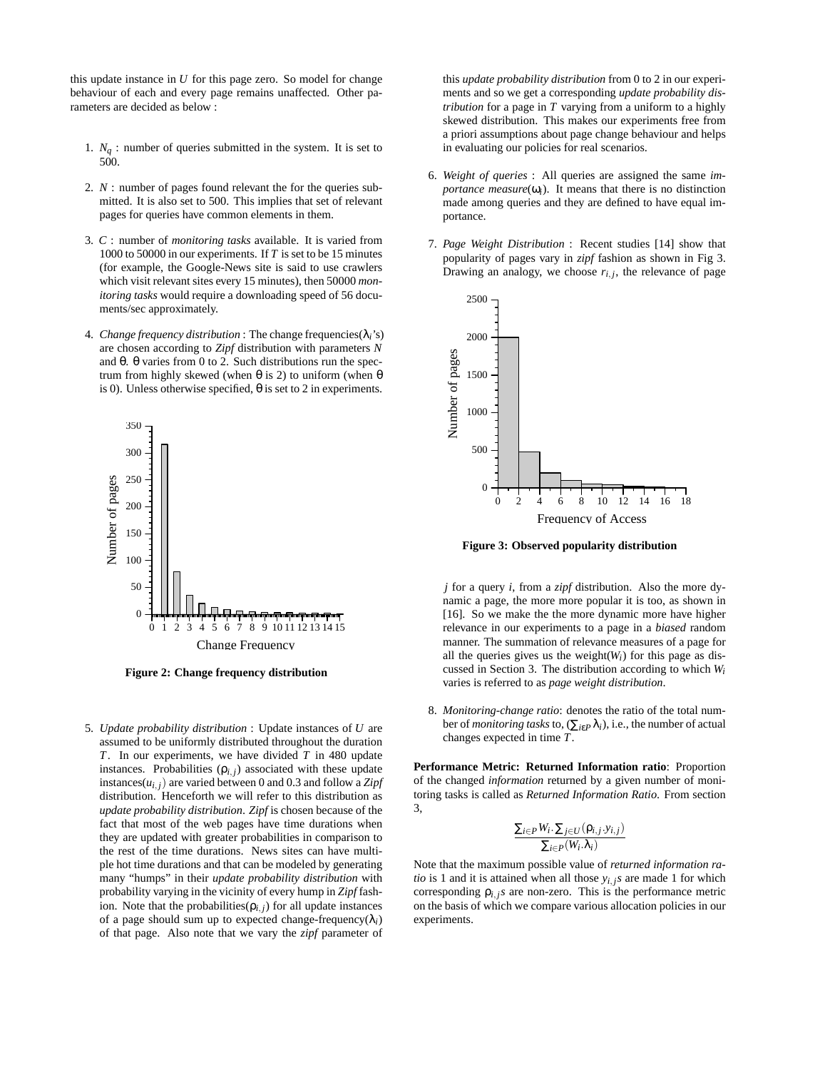this update instance in *U* for this page zero. So model for change behaviour of each and every page remains unaffected. Other parameters are decided as below :

- 1.  $N_q$ : number of queries submitted in the system. It is set to 500.
- 2. *N* : number of pages found relevant the for the queries submitted. It is also set to 500. This implies that set of relevant pages for queries have common elements in them.
- 3. *C* : number of *monitoring tasks* available. It is varied from 1000 to 50000 in our experiments. If *T* is set to be 15 minutes (for example, the Google-News site is said to use crawlers which visit relevant sites every 15 minutes), then 50000 *monitoring tasks* would require a downloading speed of 56 documents/sec approximately.
- 4. *Change frequency distribution* : The change frequencies  $(\lambda_i)$ 's) are chosen according to *Zipf* distribution with parameters *N* and θ. θ varies from 0 to 2. Such distributions run the spectrum from highly skewed (when θ is 2) to uniform (when θ is 0). Unless otherwise specified, θ is set to 2 in experiments.



**Figure 2: Change frequency distribution**

5. *Update probability distribution* : Update instances of *U* are assumed to be uniformly distributed throughout the duration *T*. In our experiments, we have divided *T* in 480 update instances. Probabilities  $(\rho_{i,j})$  associated with these update instances( $u_{i,j}$ ) are varied between 0 and 0.3 and follow a Zipf distribution. Henceforth we will refer to this distribution as *update probability distribution*. *Zipf* is chosen because of the fact that most of the web pages have time durations when they are updated with greater probabilities in comparison to the rest of the time durations. News sites can have multiple hot time durations and that can be modeled by generating many "humps" in their *update probability distribution* with probability varying in the vicinity of every hump in *Zipf* fashion. Note that the probabilities( $\rho_{i,j}$ ) for all update instances of a page should sum up to expected change-frequency( $\lambda_i$ ) of that page. Also note that we vary the *zipf* parameter of this *update probability distribution* from 0 to 2 in our experiments and so we get a corresponding *update probability distribution* for a page in *T* varying from a uniform to a highly skewed distribution. This makes our experiments free from a priori assumptions about page change behaviour and helps in evaluating our policies for real scenarios.

- 6. *Weight of queries* : All queries are assigned the same *importance measure*( $\omega$ <sub>*i*</sub>). It means that there is no distinction made among queries and they are defined to have equal importance.
- 7. *Page Weight Distribution* : Recent studies [14] show that popularity of pages vary in *zipf* fashion as shown in Fig 3. Drawing an analogy, we choose  $r_{i,j}$ , the relevance of page



**Figure 3: Observed popularity distribution**

*j* for a query *i*, from a *zipf* distribution. Also the more dynamic a page, the more more popular it is too, as shown in [16]. So we make the the more dynamic more have higher relevance in our experiments to a page in a *biased* random manner. The summation of relevance measures of a page for all the queries gives us the weight $(W_i)$  for this page as discussed in Section 3. The distribution according to which *Wi* varies is referred to as *page weight distribution*.

8. *Monitoring-change ratio*: denotes the ratio of the total number of *monitoring tasks* to,  $(\sum_{i\in P} \lambda_i)$ , i.e., the number of actual changes expected in time *T*.

**Performance Metric: Returned Information ratio**: Proportion of the changed *information* returned by a given number of monitoring tasks is called as *Returned Information Ratio*. From section 3,

$$
\frac{\sum_{i\in P}W_i.\sum_{j\in U}(\rho_{i,j}.y_{i,j})}{\sum_{i\in P}(W_i.\lambda_i)}
$$

Note that the maximum possible value of *returned information ratio* is 1 and it is attained when all those  $y_{i,j}$ *s* are made 1 for which corresponding  $\rho_{i,j}$ *s* are non-zero. This is the performance metric on the basis of which we compare various allocation policies in our experiments.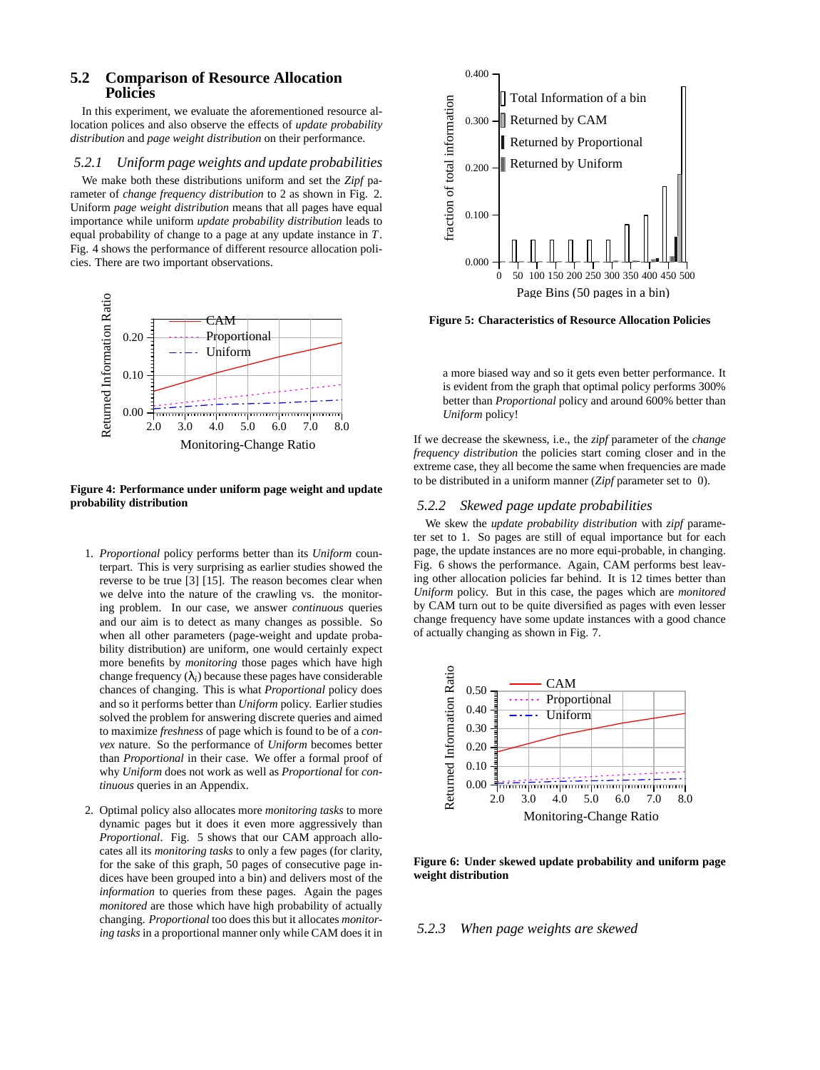# **5.2 Comparison of Resource Allocation Policies**

In this experiment, we evaluate the aforementioned resource allocation polices and also observe the effects of *update probability distribution* and *page weight distribution* on their performance.

#### *5.2.1 Uniform page weights and update probabilities*

We make both these distributions uniform and set the *Zipf* parameter of *change frequency distribution* to 2 as shown in Fig. 2. Uniform *page weight distribution* means that all pages have equal importance while uniform *update probability distribution* leads to equal probability of change to a page at any update instance in *T*. Fig. 4 shows the performance of different resource allocation policies. There are two important observations.



**Figure 4: Performance under uniform page weight and update probability distribution**

- 1. *Proportional* policy performs better than its *Uniform* counterpart. This is very surprising as earlier studies showed the reverse to be true [3] [15]. The reason becomes clear when we delve into the nature of the crawling vs. the monitoring problem. In our case, we answer *continuous* queries and our aim is to detect as many changes as possible. So when all other parameters (page-weight and update probability distribution) are uniform, one would certainly expect more benefits by *monitoring* those pages which have high change frequency  $(\lambda_i)$  because these pages have considerable chances of changing. This is what *Proportional* policy does and so it performs better than *Uniform* policy. Earlier studies solved the problem for answering discrete queries and aimed to maximize *freshness* of page which is found to be of a *convex* nature. So the performance of *Uniform* becomes better than *Proportional* in their case. We offer a formal proof of why *Uniform* does not work as well as *Proportional* for *continuous* queries in an Appendix.
- 2. Optimal policy also allocates more *monitoring tasks* to more dynamic pages but it does it even more aggressively than *Proportional*. Fig. 5 shows that our CAM approach allocates all its *monitoring tasks* to only a few pages (for clarity, for the sake of this graph, 50 pages of consecutive page indices have been grouped into a bin) and delivers most of the *information* to queries from these pages. Again the pages *monitored* are those which have high probability of actually changing. *Proportional* too does this but it allocates *monitoring tasks* in a proportional manner only while CAM does it in



**Figure 5: Characteristics of Resource Allocation Policies**

a more biased way and so it gets even better performance. It is evident from the graph that optimal policy performs 300% better than *Proportional* policy and around 600% better than *Uniform* policy!

If we decrease the skewness, i.e., the *zipf* parameter of the *change frequency distribution* the policies start coming closer and in the extreme case, they all become the same when frequencies are made to be distributed in a uniform manner (*Zipf* parameter set to 0).

#### *5.2.2 Skewed page update probabilities*

We skew the *update probability distribution* with *zipf* parameter set to 1. So pages are still of equal importance but for each page, the update instances are no more equi-probable, in changing. Fig. 6 shows the performance. Again, CAM performs best leaving other allocation policies far behind. It is 12 times better than *Uniform* policy. But in this case, the pages which are *monitored* by CAM turn out to be quite diversified as pages with even lesser change frequency have some update instances with a good chance of actually changing as shown in Fig. 7.



**Figure 6: Under skewed update probability and uniform page weight distribution**

#### *5.2.3 When page weights are skewed*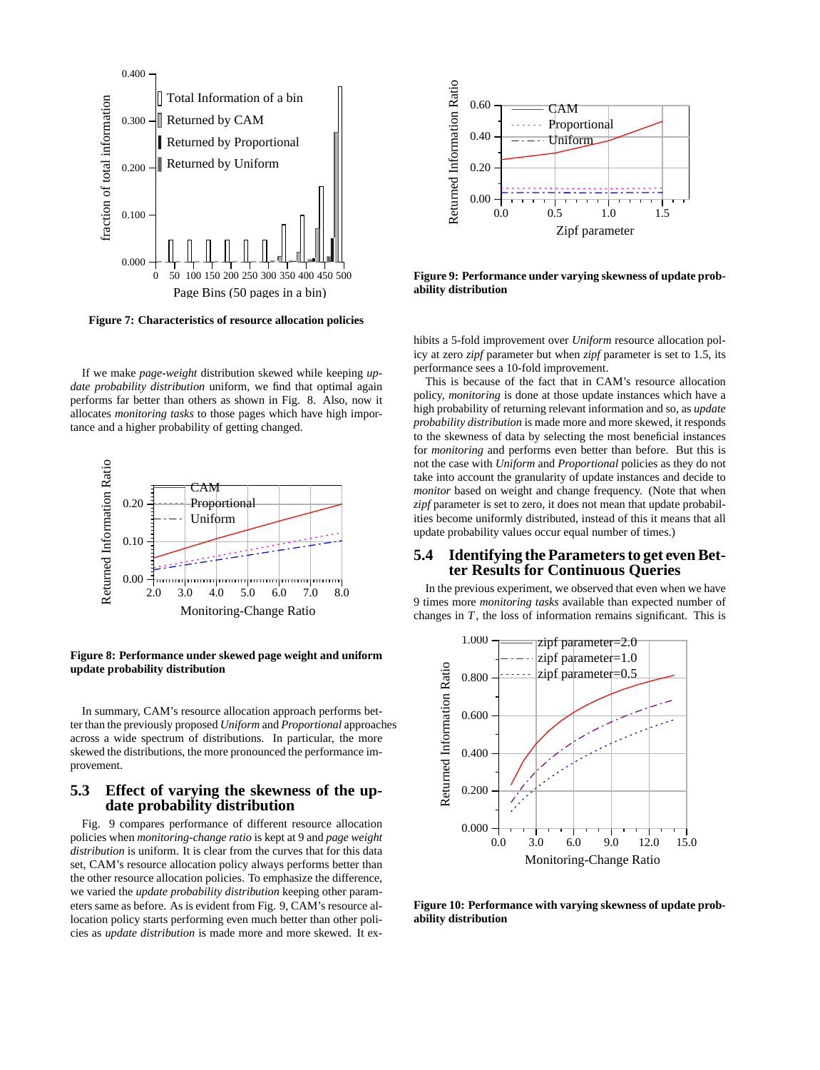

**Figure 7: Characteristics of resource allocation policies**

If we make *page-weight* distribution skewed while keeping *update probability distribution* uniform, we find that optimal again performs far better than others as shown in Fig. 8. Also, now it allocates *monitoring tasks* to those pages which have high importance and a higher probability of getting changed.



**Figure 8: Performance under skewed page weight and uniform update probability distribution**

In summary, CAM's resource allocation approach performs better than the previously proposed *Uniform* and *Proportional* approaches across a wide spectrum of distributions. In particular, the more skewed the distributions, the more pronounced the performance improvement.

# **5.3 Effect of varying the skewness of the update probability distribution**

Fig. 9 compares performance of different resource allocation policies when *monitoring-change ratio* is kept at 9 and *page weight distribution* is uniform. It is clear from the curves that for this data set, CAM's resource allocation policy always performs better than the other resource allocation policies. To emphasize the difference, we varied the *update probability distribution* keeping other parameters same as before. As is evident from Fig. 9, CAM's resource allocation policy starts performing even much better than other policies as *update distribution* is made more and more skewed. It ex-



**Figure 9: Performance under varying skewness of update probability distribution**

hibits a 5-fold improvement over *Uniform* resource allocation policy at zero *zipf* parameter but when *zipf* parameter is set to 1.5, its performance sees a 10-fold improvement.

This is because of the fact that in CAM's resource allocation policy, *monitoring* is done at those update instances which have a high probability of returning relevant information and so, as *update probability distribution* is made more and more skewed, it responds to the skewness of data by selecting the most beneficial instances for *monitoring* and performs even better than before. But this is not the case with *Uniform* and *Proportional* policies as they do not take into account the granularity of update instances and decide to *monitor* based on weight and change frequency. (Note that when *zipf* parameter is set to zero, it does not mean that update probabilities become uniformly distributed, instead of this it means that all update probability values occur equal number of times.)

## **5.4 Identifying the Parameters to get even Better Results for Continuous Queries**

In the previous experiment, we observed that even when we have 9 times more *monitoring tasks* available than expected number of changes in *T*, the loss of information remains significant. This is



**Figure 10: Performance with varying skewness of update probability distribution**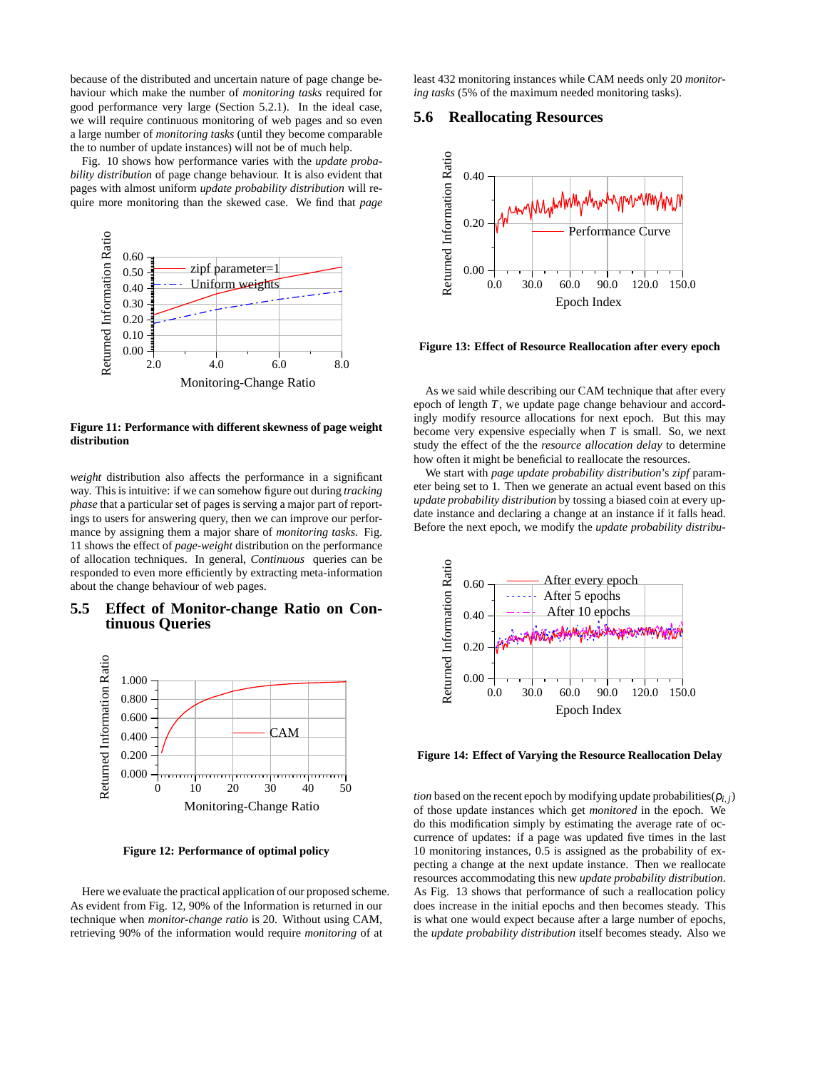because of the distributed and uncertain nature of page change behaviour which make the number of *monitoring tasks* required for good performance very large (Section 5.2.1). In the ideal case, we will require continuous monitoring of web pages and so even a large number of *monitoring tasks* (until they become comparable the to number of update instances) will not be of much help.

Fig. 10 shows how performance varies with the *update probability distribution* of page change behaviour. It is also evident that pages with almost uniform *update probability distribution* will require more monitoring than the skewed case. We find that *page*



**Figure 11: Performance with different skewness of page weight distribution**

*weight* distribution also affects the performance in a significant way. This is intuitive: if we can somehow figure out during *tracking phase* that a particular set of pages is serving a major part of reportings to users for answering query, then we can improve our performance by assigning them a major share of *monitoring tasks*. Fig. 11 shows the effect of *page-weight* distribution on the performance of allocation techniques. In general, *Continuous* queries can be responded to even more efficiently by extracting meta-information about the change behaviour of web pages.

## **5.5 Effect of Monitor-change Ratio on Continuous Queries**



**Figure 12: Performance of optimal policy**

Here we evaluate the practical application of our proposed scheme. As evident from Fig. 12, 90% of the Information is returned in our technique when *monitor-change ratio* is 20. Without using CAM, retrieving 90% of the information would require *monitoring* of at

least 432 monitoring instances while CAM needs only 20 *monitoring tasks* (5% of the maximum needed monitoring tasks).

## **5.6 Reallocating Resources**



**Figure 13: Effect of Resource Reallocation after every epoch**

As we said while describing our CAM technique that after every epoch of length *T*, we update page change behaviour and accordingly modify resource allocations for next epoch. But this may become very expensive especially when *T* is small. So, we next study the effect of the the *resource allocation delay* to determine how often it might be beneficial to reallocate the resources.

We start with *page update probability distribution*'s *zipf* parameter being set to 1. Then we generate an actual event based on this *update probability distribution* by tossing a biased coin at every update instance and declaring a change at an instance if it falls head. Before the next epoch, we modify the *update probability distribu-*



**Figure 14: Effect of Varying the Resource Reallocation Delay**

*tion* based on the recent epoch by modifying update probabilities( $\rho$ *i*, *j*) of those update instances which get *monitored* in the epoch. We do this modification simply by estimating the average rate of occurrence of updates: if a page was updated five times in the last 10 monitoring instances, 0.5 is assigned as the probability of expecting a change at the next update instance. Then we reallocate resources accommodating this new *update probability distribution*. As Fig. 13 shows that performance of such a reallocation policy does increase in the initial epochs and then becomes steady. This is what one would expect because after a large number of epochs, the *update probability distribution* itself becomes steady. Also we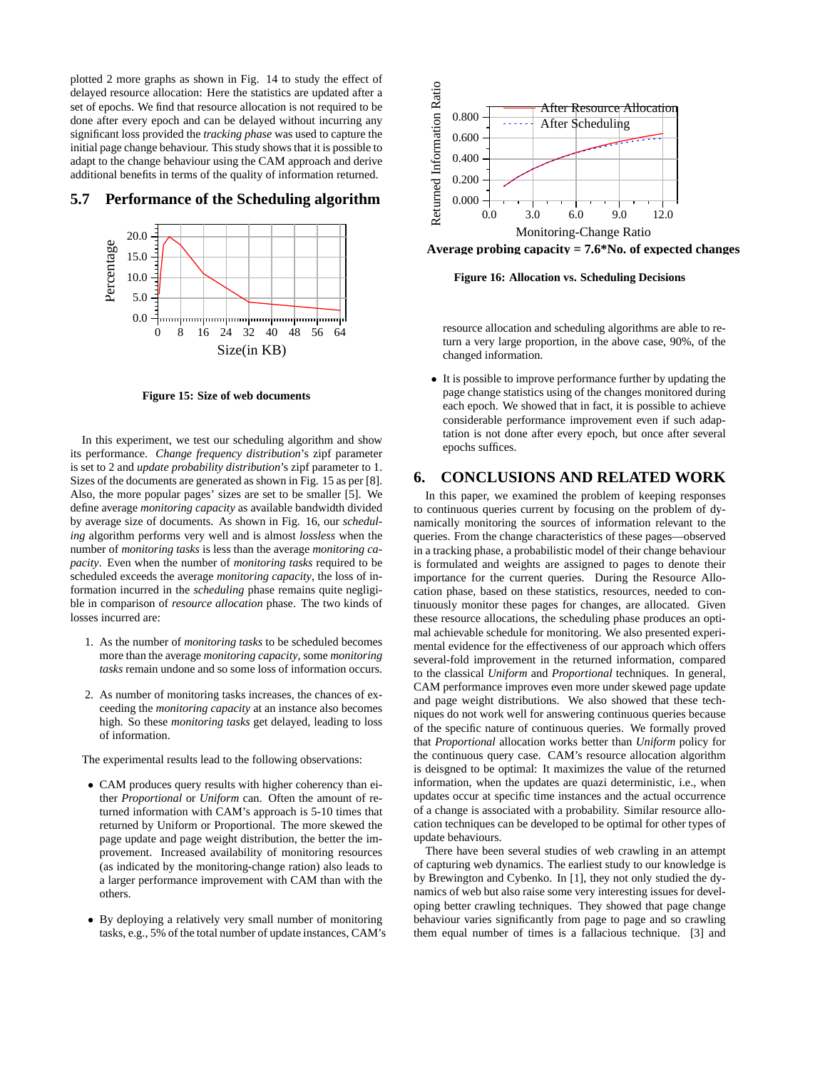plotted 2 more graphs as shown in Fig. 14 to study the effect of delayed resource allocation: Here the statistics are updated after a set of epochs. We find that resource allocation is not required to be done after every epoch and can be delayed without incurring any significant loss provided the *tracking phase* was used to capture the initial page change behaviour. This study shows that it is possible to adapt to the change behaviour using the CAM approach and derive additional benefits in terms of the quality of information returned.

# 20.0 Percentage 15.0 10.0 5.0 0.0 <del>ստոիստվատվաստիստվաստիստվաստի</del> 0 8 16 24 32 40 48 56 64 Size(in KB)

# **5.7 Performance of the Scheduling algorithm**

**Figure 15: Size of web documents**

In this experiment, we test our scheduling algorithm and show its performance. *Change frequency distribution*'s zipf parameter is set to 2 and *update probability distribution*'s zipf parameter to 1. Sizes of the documents are generated as shown in Fig. 15 as per [8]. Also, the more popular pages' sizes are set to be smaller [5]. We define average *monitoring capacity* as available bandwidth divided by average size of documents. As shown in Fig. 16, our *scheduling* algorithm performs very well and is almost *lossless* when the number of *monitoring tasks* is less than the average *monitoring capacity*. Even when the number of *monitoring tasks* required to be scheduled exceeds the average *monitoring capacity*, the loss of information incurred in the *scheduling* phase remains quite negligible in comparison of *resource allocation* phase. The two kinds of losses incurred are:

- 1. As the number of *monitoring tasks* to be scheduled becomes more than the average *monitoring capacity*, some *monitoring tasks* remain undone and so some loss of information occurs.
- 2. As number of monitoring tasks increases, the chances of exceeding the *monitoring capacity* at an instance also becomes high. So these *monitoring tasks* get delayed, leading to loss of information.

The experimental results lead to the following observations:

- CAM produces query results with higher coherency than either *Proportional* or *Uniform* can. Often the amount of returned information with CAM's approach is 5-10 times that returned by Uniform or Proportional. The more skewed the page update and page weight distribution, the better the improvement. Increased availability of monitoring resources (as indicated by the monitoring-change ration) also leads to a larger performance improvement with CAM than with the others.
- By deploying a relatively very small number of monitoring tasks, e.g., 5% of the total number of update instances, CAM's



**Average probing capacity = 7.6\*No. of expected changes**

**Figure 16: Allocation vs. Scheduling Decisions**

resource allocation and scheduling algorithms are able to return a very large proportion, in the above case, 90%, of the changed information.

• It is possible to improve performance further by updating the page change statistics using of the changes monitored during each epoch. We showed that in fact, it is possible to achieve considerable performance improvement even if such adaptation is not done after every epoch, but once after several epochs suffices.

# **6. CONCLUSIONS AND RELATED WORK**

In this paper, we examined the problem of keeping responses to continuous queries current by focusing on the problem of dynamically monitoring the sources of information relevant to the queries. From the change characteristics of these pages—observed in a tracking phase, a probabilistic model of their change behaviour is formulated and weights are assigned to pages to denote their importance for the current queries. During the Resource Allocation phase, based on these statistics, resources, needed to continuously monitor these pages for changes, are allocated. Given these resource allocations, the scheduling phase produces an optimal achievable schedule for monitoring. We also presented experimental evidence for the effectiveness of our approach which offers several-fold improvement in the returned information, compared to the classical *Uniform* and *Proportional* techniques. In general, CAM performance improves even more under skewed page update and page weight distributions. We also showed that these techniques do not work well for answering continuous queries because of the specific nature of continuous queries. We formally proved that *Proportional* allocation works better than *Uniform* policy for the continuous query case. CAM's resource allocation algorithm is deisgned to be optimal: It maximizes the value of the returned information, when the updates are quazi deterministic, i.e., when updates occur at specific time instances and the actual occurrence of a change is associated with a probability. Similar resource allocation techniques can be developed to be optimal for other types of update behaviours.

There have been several studies of web crawling in an attempt of capturing web dynamics. The earliest study to our knowledge is by Brewington and Cybenko. In [1], they not only studied the dynamics of web but also raise some very interesting issues for developing better crawling techniques. They showed that page change behaviour varies significantly from page to page and so crawling them equal number of times is a fallacious technique. [3] and